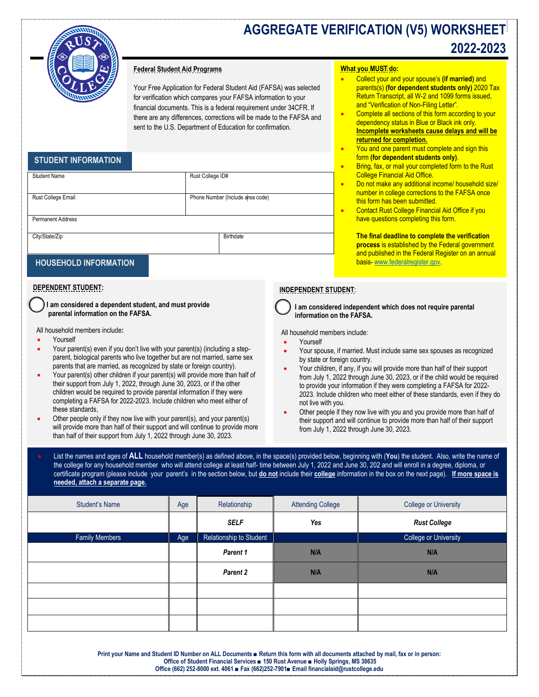

# **AGGREGATE VERIFICATION (V5) WORKSHEET 2022-2023**

## **Federal Student Aid Programs**

Your Free Application for Federal Student Aid (FAFSA) was selected for verification which compares your FAFSA information to your financial documents. This is a federal requirement under 34CFR. If there are any differences, corrections will be made to the FAFSA and sent to the U.S. Department of Education for confirmation.

## **STUDENT INFORMATION**

| <b>Student Name</b>      | Rust College ID#                 |
|--------------------------|----------------------------------|
|                          |                                  |
| Rust College Email       | Phone Number (Include area code) |
|                          |                                  |
| <b>Permanent Address</b> |                                  |
|                          |                                  |
| City/State/Zip           | Birthdate                        |
|                          |                                  |

## **HOUSEHOLD INFORMATION**

## **DEPENDENT STUDENT:**

 **I am considered a dependent student, and must provide parental information on the FAFSA.** 

All household members include**:**

- Yourself
- Your parent(s) even if you don't live with your parent(s) (including a stepparent, biological parents who live together but are not married, same sex parents that are married, as recognized by state or foreign country).
- Your parent(s) other children if your parent(s) will provide more than half of their support from July 1, 2022, through June 30, 2023, or if the other children would be required to provide parental information if they were completing a FAFSA for 2022-2023. Include children who meet either of these standards,
- Other people only if they now live with your parent(s), and your parent(s) will provide more than half of their support and will continue to provide more than half of their support from July 1, 2022 through June 30, 2023.

#### **What you MUST do:**

- Collect your and your spouse's **(if married)** and parents(s) **(for dependent students only)** 2020 Tax Return Transcript, all W-2 and 1099 forms issued, and "Verification of Non-Filing Letter".
- Complete all sections of this form according to your dependency status in Blue or Black ink only. **Incomplete worksheets cause delays and will be returned for completion.**
- You and one parent must complete and sign this form **(for dependent students only)**.
- Bring, fax, or mail your completed form to the Rust College Financial Aid Office.
- Do not make any additional income/ household size/ number in college corrections to the FAFSA once this form has been submitted.
- Contact Rust College Financial Aid Office if you have questions completing this form.

**The final deadline to complete the verification process** is established by the Federal government and published in the Federal Register on an annual basis- [www.federalregister.gov.](http://www.federalregister.gov/)

## **INDEPENDENT STUDENT**:

 **I am considered independent which does not require parental information on the FAFSA.**

All household members include:

- Yourself
- Your spouse, if married. Must include same sex spouses as recognized by state or foreign country.
- Your children, if any, if you will provide more than half of their support from July 1, 2022 through June 30, 2023, or if the child would be required to provide your information if they were completing a FAFSA for 2022- 2023. Include children who meet either of these standards, even if they do not live with you.
- Other people if they now live with you and you provide more than half of their support and will continue to provide more than half of their support from July 1, 2022 through June 30, 2023.

• List the names and ages of **ALL** household member(s) as defined above, in the space(s) provided below, beginning with (**You**) the student. Also, write the name of the college for any household member who will attend college at least half- time between July 1, 2022 and June 30, 202 and will enroll in a degree, diploma, or certificate program (please include your parent's in the section below, but **do not** include their **college** information in the box on the next page). **If more space is needed, attach a separate page.**

| <b>Student's Name</b> | Age | Relationship            | <b>Attending College</b> | <b>College or University</b> |
|-----------------------|-----|-------------------------|--------------------------|------------------------------|
|                       |     | <b>SELF</b>             | Yes                      | <b>Rust College</b>          |
| <b>Family Members</b> | Age | Relationship to Student |                          | College or University        |
|                       |     | Parent 1                | N/A                      | N/A                          |
|                       |     | Parent 2                | N/A                      | N/A                          |
|                       |     |                         |                          |                              |
|                       |     |                         |                          |                              |
|                       |     |                         |                          |                              |

**Print your Name and Student ID Number on ALL Documents ■ Return this form with all documents attached by mail, fax or in person: Office of Student Financial Services ■ 150 Rust Avenue ■ Holly Springs, MS 38635 Office (662) 252-8000 ext. 4061 ■ Fax (662)252-7901■ Email financialaid@rustcollege.edu**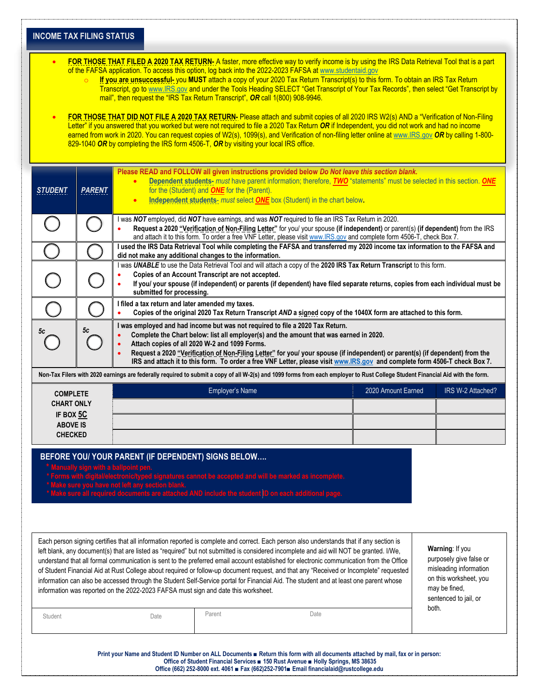|                                                                                                                                                                                                                                                                                                                                             | <b>INCOME TAX FILING STATUS</b> |                                                                                                                                                                      |                                                    |                                                                                                                                                                                                                                                                                                                                                                                                                                                                                                                                                                                                                                                                                                                    |                    |                                                                                                                                          |  |  |  |
|---------------------------------------------------------------------------------------------------------------------------------------------------------------------------------------------------------------------------------------------------------------------------------------------------------------------------------------------|---------------------------------|----------------------------------------------------------------------------------------------------------------------------------------------------------------------|----------------------------------------------------|--------------------------------------------------------------------------------------------------------------------------------------------------------------------------------------------------------------------------------------------------------------------------------------------------------------------------------------------------------------------------------------------------------------------------------------------------------------------------------------------------------------------------------------------------------------------------------------------------------------------------------------------------------------------------------------------------------------------|--------------------|------------------------------------------------------------------------------------------------------------------------------------------|--|--|--|
|                                                                                                                                                                                                                                                                                                                                             |                                 | mail", then request the "IRS Tax Return Transcript", OR call 1(800) 908-9946.                                                                                        |                                                    | FOR THOSE THAT FILED A 2020 TAX RETURN-A faster, more effective way to verify income is by using the IRS Data Retrieval Tool that is a part<br>of the FAFSA application. To access this option, log back into the 2022-2023 FAFSA at www.studentaid.gov<br>If you are unsuccessful- you MUST attach a copy of your 2020 Tax Return Transcript(s) to this form. To obtain an IRS Tax Return<br>Transcript, go to www.IRS.gov and under the Tools Heading SELECT "Get Transcript of Your Tax Records", then select "Get Transcript by                                                                                                                                                                                |                    |                                                                                                                                          |  |  |  |
|                                                                                                                                                                                                                                                                                                                                             |                                 | 829-1040 OR by completing the IRS form 4506-T, OR by visiting your local IRS office.                                                                                 |                                                    | FOR THOSE THAT DID NOT FILE A 2020 TAX RETURN- Please attach and submit copies of all 2020 IRS W2(s) AND a "Verification of Non-Filing<br>Letter" if you answered that you worked but were not required to file a 2020 Tax Return OR if Independent, you did not work and had no income<br>earned from work in 2020. You can request copies of W2(s), 1099(s), and Verification of non-filing letter online at www.IRS.gov OR by calling 1-800-                                                                                                                                                                                                                                                                    |                    |                                                                                                                                          |  |  |  |
| <b>STUDENT</b>                                                                                                                                                                                                                                                                                                                              | <b>PARENT</b>                   | $\bullet$<br>$\bullet$                                                                                                                                               | for the (Student) and <b>ONE</b> for the (Parent). | Please READ and FOLLOW all given instructions provided below Do Not leave this section blank.<br>Dependent students- must have parent information; therefore, TWO "statements" must be selected in this section. ONE<br>Independent students- must select ONE box (Student) in the chart below.                                                                                                                                                                                                                                                                                                                                                                                                                    |                    |                                                                                                                                          |  |  |  |
|                                                                                                                                                                                                                                                                                                                                             |                                 |                                                                                                                                                                      |                                                    | I was NOT employed, did NOT have earnings, and was NOT required to file an IRS Tax Return in 2020.<br>Request a 2020 "Verification of Non-Filing Letter" for you/ your spouse (if independent) or parent(s) (if dependent) from the IRS<br>and attach it to this form. To order a free VNF Letter, please visit www.IRS.gov and complete form 4506-T, check Box 7.                                                                                                                                                                                                                                                                                                                                                 |                    |                                                                                                                                          |  |  |  |
|                                                                                                                                                                                                                                                                                                                                             |                                 | did not make any additional changes to the information.                                                                                                              |                                                    | I used the IRS Data Retrieval Tool while completing the FAFSA and transferred my 2020 income tax information to the FAFSA and                                                                                                                                                                                                                                                                                                                                                                                                                                                                                                                                                                                      |                    |                                                                                                                                          |  |  |  |
| I was UNABLE to use the Data Retrieval Tool and will attach a copy of the 2020 IRS Tax Return Transcript to this form.<br>Copies of an Account Transcript are not accepted.<br>If you/ your spouse (if independent) or parents (if dependent) have filed separate returns, copies from each individual must be<br>submitted for processing. |                                 |                                                                                                                                                                      |                                                    |                                                                                                                                                                                                                                                                                                                                                                                                                                                                                                                                                                                                                                                                                                                    |                    |                                                                                                                                          |  |  |  |
|                                                                                                                                                                                                                                                                                                                                             |                                 | I filed a tax return and later amended my taxes.<br>Copies of the original 2020 Tax Return Transcript AND a signed copy of the 1040X form are attached to this form. |                                                    |                                                                                                                                                                                                                                                                                                                                                                                                                                                                                                                                                                                                                                                                                                                    |                    |                                                                                                                                          |  |  |  |
| 5c                                                                                                                                                                                                                                                                                                                                          | 5c                              | Attach copies of all 2020 W-2 and 1099 Forms.                                                                                                                        |                                                    | I was employed and had income but was not required to file a 2020 Tax Return.<br>Complete the Chart below: list all employer(s) and the amount that was earned in 2020.                                                                                                                                                                                                                                                                                                                                                                                                                                                                                                                                            |                    |                                                                                                                                          |  |  |  |
|                                                                                                                                                                                                                                                                                                                                             |                                 |                                                                                                                                                                      |                                                    | Request a 2020 "Verification of Non-Filing Letter" for you/ your spouse (if independent) or parent(s) (if dependent) from the<br>IRS and attach it to this form. To order a free VNF Letter, please visit www.IRS.gov and complete form 4506-T check Box 7.                                                                                                                                                                                                                                                                                                                                                                                                                                                        |                    |                                                                                                                                          |  |  |  |
|                                                                                                                                                                                                                                                                                                                                             |                                 |                                                                                                                                                                      |                                                    | Non-Tax Filers with 2020 earnings are federally required to submit a copy of all W-2(s) and 1099 forms from each employer to Rust College Student Financial Aid with the form.                                                                                                                                                                                                                                                                                                                                                                                                                                                                                                                                     |                    |                                                                                                                                          |  |  |  |
| <b>COMPLETE</b><br><b>CHART ONLY</b>                                                                                                                                                                                                                                                                                                        |                                 |                                                                                                                                                                      | Employer's Name                                    |                                                                                                                                                                                                                                                                                                                                                                                                                                                                                                                                                                                                                                                                                                                    | 2020 Amount Earned | IRS W-2 Attached?                                                                                                                        |  |  |  |
| IF BOX 5C                                                                                                                                                                                                                                                                                                                                   |                                 |                                                                                                                                                                      |                                                    |                                                                                                                                                                                                                                                                                                                                                                                                                                                                                                                                                                                                                                                                                                                    |                    |                                                                                                                                          |  |  |  |
| <b>ABOVE IS</b><br><b>CHECKED</b>                                                                                                                                                                                                                                                                                                           |                                 |                                                                                                                                                                      |                                                    |                                                                                                                                                                                                                                                                                                                                                                                                                                                                                                                                                                                                                                                                                                                    |                    |                                                                                                                                          |  |  |  |
|                                                                                                                                                                                                                                                                                                                                             | sure you have not left any s    | BEFORE YOU/ YOUR PARENT (IF DEPENDENT) SIGNS BELOW<br>anually sign with a ballpoint pen.                                                                             |                                                    | annot be accepted and will be marked as incomp<br>.<br>Ints are attached AND include the student <mark>ID on each additional page</mark> .                                                                                                                                                                                                                                                                                                                                                                                                                                                                                                                                                                         |                    |                                                                                                                                          |  |  |  |
|                                                                                                                                                                                                                                                                                                                                             |                                 | information was reported on the 2022-2023 FAFSA must sign and date this worksheet.                                                                                   |                                                    | Each person signing certifies that all information reported is complete and correct. Each person also understands that if any section is<br>left blank, any document(s) that are listed as "required" but not submitted is considered incomplete and aid will NOT be granted. I/We,<br>understand that all formal communication is sent to the preferred email account established for electronic communication from the Office<br>of Student Financial Aid at Rust College about required or follow-up document request, and that any "Received or Incomplete" requested<br>information can also be accessed through the Student Self-Service portal for Financial Aid. The student and at least one parent whose |                    | Warning: If you<br>purposely give false or<br>misleading information<br>on this worksheet, you<br>may be fined,<br>sentenced to jail, or |  |  |  |
| Student                                                                                                                                                                                                                                                                                                                                     |                                 | Date                                                                                                                                                                 | Parent                                             | Date                                                                                                                                                                                                                                                                                                                                                                                                                                                                                                                                                                                                                                                                                                               |                    | both.                                                                                                                                    |  |  |  |

|  |                                                                                         |  |  |  | . |  |  |
|--|-----------------------------------------------------------------------------------------|--|--|--|---|--|--|
|  |                                                                                         |  |  |  |   |  |  |
|  | Office (662) 252-8000 ext. 4061 ■ Fax (662)252-7901■ Email financialaid@rustcollege.edu |  |  |  |   |  |  |
|  |                                                                                         |  |  |  |   |  |  |